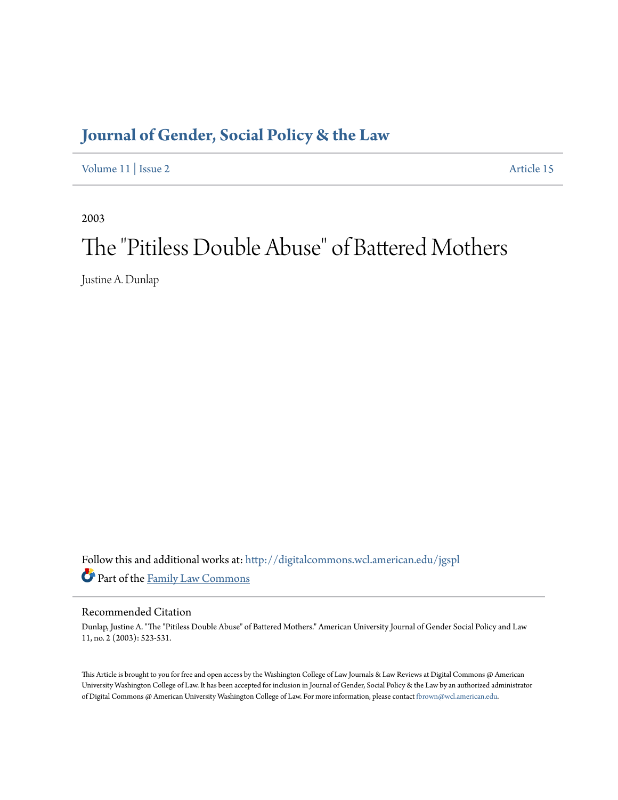# **[Journal of Gender, Social Policy & the Law](http://digitalcommons.wcl.american.edu/jgspl?utm_source=digitalcommons.wcl.american.edu%2Fjgspl%2Fvol11%2Fiss2%2F15&utm_medium=PDF&utm_campaign=PDFCoverPages)**

[Volume 11](http://digitalcommons.wcl.american.edu/jgspl/vol11?utm_source=digitalcommons.wcl.american.edu%2Fjgspl%2Fvol11%2Fiss2%2F15&utm_medium=PDF&utm_campaign=PDFCoverPages) | [Issue 2](http://digitalcommons.wcl.american.edu/jgspl/vol11/iss2?utm_source=digitalcommons.wcl.american.edu%2Fjgspl%2Fvol11%2Fiss2%2F15&utm_medium=PDF&utm_campaign=PDFCoverPages) [Article 15](http://digitalcommons.wcl.american.edu/jgspl/vol11/iss2/15?utm_source=digitalcommons.wcl.american.edu%2Fjgspl%2Fvol11%2Fiss2%2F15&utm_medium=PDF&utm_campaign=PDFCoverPages)

2003

# The "Pitiless Double Abuse" of Battered Mothers

Justine A. Dunlap

Follow this and additional works at: [http://digitalcommons.wcl.american.edu/jgspl](http://digitalcommons.wcl.american.edu/jgspl?utm_source=digitalcommons.wcl.american.edu%2Fjgspl%2Fvol11%2Fiss2%2F15&utm_medium=PDF&utm_campaign=PDFCoverPages) Part of the [Family Law Commons](http://network.bepress.com/hgg/discipline/602?utm_source=digitalcommons.wcl.american.edu%2Fjgspl%2Fvol11%2Fiss2%2F15&utm_medium=PDF&utm_campaign=PDFCoverPages)

#### Recommended Citation

Dunlap, Justine A. "The "Pitiless Double Abuse" of Battered Mothers." American University Journal of Gender Social Policy and Law 11, no. 2 (2003): 523-531.

This Article is brought to you for free and open access by the Washington College of Law Journals & Law Reviews at Digital Commons @ American University Washington College of Law. It has been accepted for inclusion in Journal of Gender, Social Policy & the Law by an authorized administrator of Digital Commons @ American University Washington College of Law. For more information, please contact [fbrown@wcl.american.edu.](mailto:fbrown@wcl.american.edu)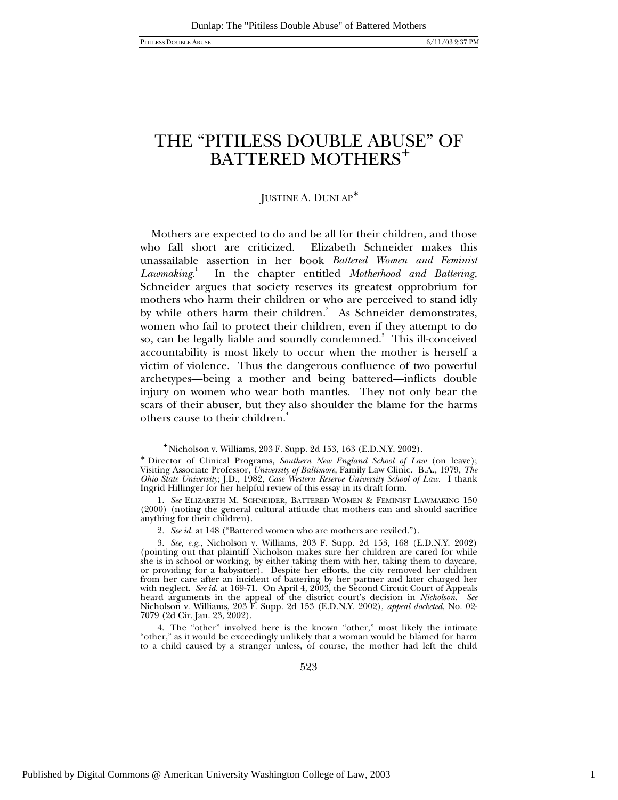-

# THE "PITILESS DOUBLE ABUSE" OF BATTERED MOTHERS<sup>+</sup>

#### JUSTINE A. DUNLAP<sup>∗</sup>

Mothers are expected to do and be all for their children, and those who fall short are criticized. Elizabeth Schneider makes this unassailable assertion in her book *Battered Women and Feminist Lawmaking*. 1 In the chapter entitled *Motherhood and Battering*, Schneider argues that society reserves its greatest opprobrium for mothers who harm their children or who are perceived to stand idly by while others harm their children.<sup>2</sup> As Schneider demonstrates, women who fail to protect their children, even if they attempt to do so, can be legally liable and soundly condemned. $^{\mathrm{3}}\,$  This ill-conceived accountability is most likely to occur when the mother is herself a victim of violence. Thus the dangerous confluence of two powerful archetypes—being a mother and being battered—inflicts double injury on women who wear both mantles. They not only bear the scars of their abuser, but they also shoulder the blame for the harms others cause to their children.<sup>4</sup>

<sup>+</sup> Nicholson v. Williams, 203 F. Supp. 2d 153, 163 (E.D.N.Y. 2002).

<sup>∗</sup> Director of Clinical Programs, *Southern New England School of Law* (on leave); Visiting Associate Professor, *University of Baltimore*, Family Law Clinic. B.A., 1979, *The Ohio State University*; J.D., 1982, *Case Western Reserve University School of Law*. I thank Ingrid Hillinger for her helpful review of this essay in its draft form.

<sup>1</sup>*. See* ELIZABETH M. SCHNEIDER, BATTERED WOMEN & FEMINIST LAWMAKING 150 (2000) (noting the general cultural attitude that mothers can and should sacrifice anything for their children).

<sup>2</sup>*. See id.* at 148 ("Battered women who are mothers are reviled.").

<sup>3</sup>*. See, e.g.,* Nicholson v. Williams, 203 F. Supp. 2d 153, 168 (E.D.N.Y. 2002) (pointing out that plaintiff Nicholson makes sure her children are cared for while she is in school or working, by either taking them with her, taking them to daycare, or providing for a babysitter). Despite her efforts, the city removed her children from her care after an incident of battering by her partner and later charged her with neglect. *See id.* at 169-71. On April 4, 2003, the Second Circuit Court of Appeals heard arguments in the appeal of the district court's decision in *Nicholson*. *See* Nicholson v. Williams, 203 F. Supp. 2d 153 (E.D.N.Y. 2002), *appeal docketed*, No. 02- 7079 (2d Cir. Jan. 23, 2002).

<sup>4.</sup> The "other" involved here is the known "other," most likely the intimate "other," as it would be exceedingly unlikely that a woman would be blamed for harm to a child caused by a stranger unless, of course, the mother had left the child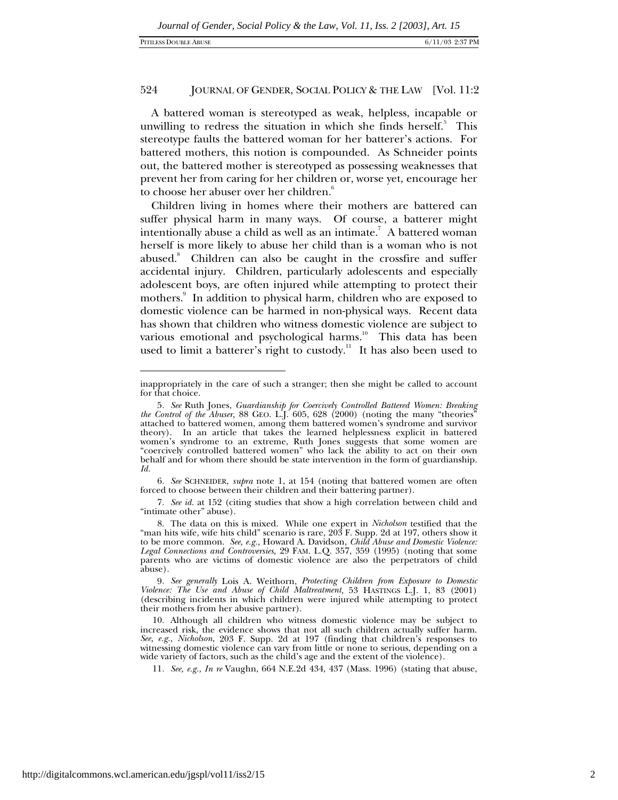A battered woman is stereotyped as weak, helpless, incapable or unwilling to redress the situation in which she finds herself.<sup>5</sup> This stereotype faults the battered woman for her batterer's actions. For battered mothers, this notion is compounded. As Schneider points out, the battered mother is stereotyped as possessing weaknesses that prevent her from caring for her children or, worse yet, encourage her to choose her abuser over her children.<sup>6</sup>

Children living in homes where their mothers are battered can suffer physical harm in many ways. Of course, a batterer might intentionally abuse a child as well as an intimate. $^7\,$  A battered woman herself is more likely to abuse her child than is a woman who is not abused. $8$  Children can also be caught in the crossfire and suffer accidental injury. Children, particularly adolescents and especially adolescent boys, are often injured while attempting to protect their mothers.<sup>9</sup> In addition to physical harm, children who are exposed to domestic violence can be harmed in non-physical ways. Recent data has shown that children who witness domestic violence are subject to various emotional and psychological harms.<sup>10</sup> This data has been used to limit a batterer's right to custody.<sup>11</sup> It has also been used to

7*. See id.* at 152 (citing studies that show a high correlation between child and "intimate other" abuse).

inappropriately in the care of such a stranger; then she might be called to account for that choice.

<sup>5</sup>*. See* Ruth Jones, *Guardianship for Coercively Controlled Battered Women: Breaking the Control of the Abuser,* 88 GEO. L.J. 605, 628 (2000) (noting the many "theories" attached to battered women, among them battered women's syndrome and survivor theory). In an article that takes the learned helplessness explicit in battered women's syndrome to an extreme, Ruth Jones suggests that some women are "coercively controlled battered women" who lack the ability to act on their own behalf and for whom there should be state intervention in the form of guardianship. *Id.*

<sup>6</sup>*. See* SCHNEIDER, *supra* note 1, at 154 (noting that battered women are often forced to choose between their children and their battering partner).

<sup>8.</sup> The data on this is mixed. While one expert in *Nicholson* testified that the "man hits wife, wife hits child" scenario is rare, 203 F. Supp. 2d at 197, others show it to be more common. *See, e.g.,* Howard A. Davidson, *Child Abuse and Domestic Violence: Legal Connections and Controversies,* 29 FAM. L.Q. 357, 359 (1995) (noting that some parents who are victims of domestic violence are also the perpetrators of child abuse).

<sup>9</sup>*. See generally* Lois A. Weithorn, *Protecting Children from Exposure to Domestic Violence: The Use and Abuse of Child Maltreatment*, 53 HASTINGS L.J. 1, 83 (2001) (describing incidents in which children were injured while attempting to protect their mothers from her abusive partner).

<sup>10.</sup> Although all children who witness domestic violence may be subject to increased risk, the evidence shows that not all such children actually suffer harm. *See, e.g., Nicholson,* 203 F. Supp. 2d at 197 (finding that children's responses to witnessing domestic violence can vary from little or none to serious, depending on a wide variety of factors, such as the child's age and the extent of the violence).

<sup>11</sup>*. See, e.g., In re* Vaughn, 664 N.E.2d 434, 437 (Mass. 1996) (stating that abuse,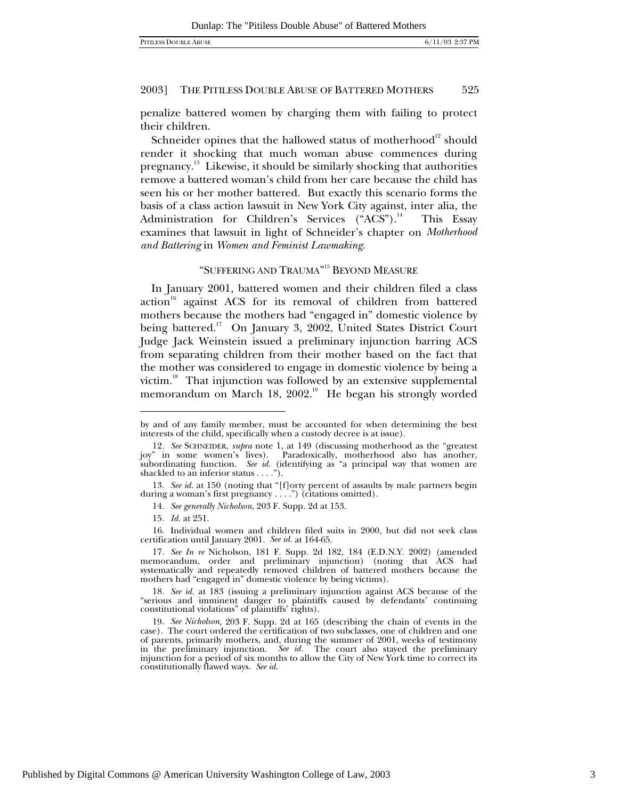penalize battered women by charging them with failing to protect their children.

Schneider opines that the hallowed status of motherhood $^{12}$  should render it shocking that much woman abuse commences during pregnancy.<sup>13</sup> Likewise, it should be similarly shocking that authorities remove a battered woman's child from her care because the child has seen his or her mother battered. But exactly this scenario forms the basis of a class action lawsuit in New York City against, inter alia*,* the Administration for Children's Services ("ACS").<sup>14</sup> This Essay examines that lawsuit in light of Schneider's chapter on *Motherhood and Battering* in *Women and Feminist Lawmaking*.

# "SUFFERING AND TRAUMA" <sup>15</sup> BEYOND MEASURE

In January 2001, battered women and their children filed a class action<sup>16</sup> against ACS for its removal of children from battered mothers because the mothers had "engaged in" domestic violence by being battered.<sup>17</sup> On January 3, 2002, United States District Court Judge Jack Weinstein issued a preliminary injunction barring ACS from separating children from their mother based on the fact that the mother was considered to engage in domestic violence by being a victim.<sup>18</sup> That injunction was followed by an extensive supplemental memorandum on March 18,  $2002.^{19}$  He began his strongly worded

1

by and of any family member, must be accounted for when determining the best interests of the child, specifically when a custody decree is at issue).

<sup>12</sup>*. See* SCHNEIDER, *supra* note 1, at 149 (discussing motherhood as the "greatest joy" in some women's lives). Paradoxically, motherhood also has another, subordinating function. *See id.* (identifying as "a principal way that women are shackled to an inferior status . . . .").

<sup>13</sup>*. See id.* at 150 (noting that "[f]orty percent of assaults by male partners begin during a woman's first pregnancy . . . .") (citations omitted).

<sup>14</sup>*. See generally Nicholson*, 203 F. Supp. 2d at 153.

<sup>15</sup>*. Id.* at 251.

<sup>16.</sup> Individual women and children filed suits in 2000, but did not seek class certification until January 2001. *See id.* at 164-65.

<sup>17</sup>*. See In re* Nicholson, 181 F. Supp. 2d 182, 184 (E.D.N.Y. 2002) (amended memorandum, order and preliminary injunction) (noting that ACS had systematically and repeatedly removed children of battered mothers because the mothers had "engaged in" domestic violence by being victims).

<sup>18</sup>*. See id.* at 183 (issuing a preliminary injunction against ACS because of the "serious and imminent danger to plaintiffs caused by defendants' continuing constitutional violations" of plaintiffs' rights).

<sup>19</sup>*. See Nicholson*, 203 F. Supp. 2d at 165 (describing the chain of events in the case). The court ordered the certification of two subclasses, one of children and one of parents, primarily mothers, and, during the summer of 2001, weeks of testimony in the preliminary injunction. *See id.* The court also stayed the preliminary injunction for a period of six months to allow the City of New York time to correct its constitutionally flawed ways. *See id.*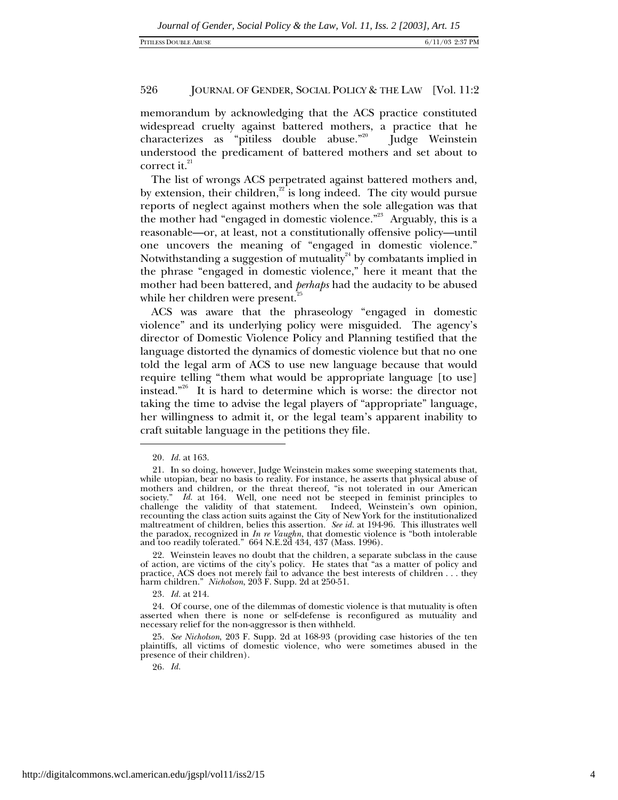memorandum by acknowledging that the ACS practice constituted widespread cruelty against battered mothers, a practice that he characterizes as "pitiless double abuse."<sup>20</sup> Judge Weinstein understood the predicament of battered mothers and set about to correct it. $^{21}$ 

The list of wrongs ACS perpetrated against battered mothers and, by extension, their children, $2^2$  is long indeed. The city would pursue reports of neglect against mothers when the sole allegation was that the mother had "engaged in domestic violence."<sup>23</sup> Arguably, this is a reasonable—or, at least, not a constitutionally offensive policy—until one uncovers the meaning of "engaged in domestic violence." Notwithstanding a suggestion of mutuality<sup>24</sup> by combatants implied in the phrase "engaged in domestic violence," here it meant that the mother had been battered, and *perhaps* had the audacity to be abused while her children were present.<sup>2</sup>

ACS was aware that the phraseology "engaged in domestic violence" and its underlying policy were misguided. The agency's director of Domestic Violence Policy and Planning testified that the language distorted the dynamics of domestic violence but that no one told the legal arm of ACS to use new language because that would require telling "them what would be appropriate language [to use] instead."26 It is hard to determine which is worse: the director not taking the time to advise the legal players of "appropriate" language, her willingness to admit it, or the legal team's apparent inability to craft suitable language in the petitions they file.

 $\overline{a}$ 

23*. Id.* at 214.

<sup>20</sup>*. Id.* at 163.

<sup>21.</sup> In so doing, however, Judge Weinstein makes some sweeping statements that, while utopian, bear no basis to reality. For instance, he asserts that physical abuse of mothers and children, or the threat thereof, "is not tolerated in our American society." *Id.* at 164. Well, one need not be steeped in feminist principles to challenge the validity of that statement. Indeed, Weinstein's own opinion, recounting the class action suits against the City of New York for the institutionalized maltreatment of children, belies this assertion. *See id.* at 194-96. This illustrates well the paradox, recognized in *In re Vaughn*, that domestic violence is "both intolerable and too readily tolerated." 664 N.E.2d 434, 437 (Mass. 1996).

<sup>22.</sup> Weinstein leaves no doubt that the children, a separate subclass in the cause of action, are victims of the city's policy. He states that "as a matter of policy and practice, ACS does not merely fail to advance the best interests of children . . . they harm children." *Nicholson*, 203 F. Supp. 2d at 250-51.

<sup>24.</sup> Of course, one of the dilemmas of domestic violence is that mutuality is often asserted when there is none or self-defense is reconfigured as mutuality and necessary relief for the non-aggressor is then withheld.

<sup>25</sup>*. See Nicholson*, 203 F. Supp. 2d at 168-93 (providing case histories of the ten plaintiffs, all victims of domestic violence, who were sometimes abused in the presence of their children).

<sup>26</sup>*. Id.*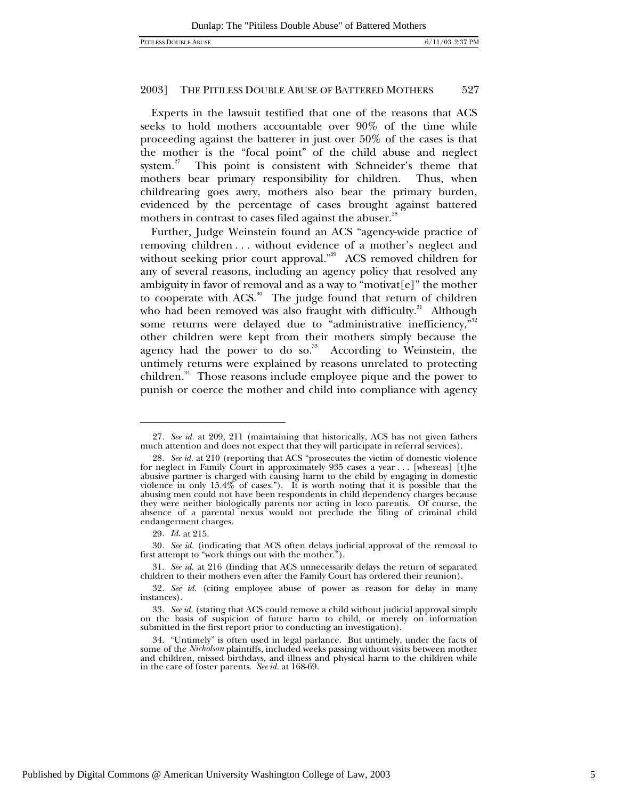Experts in the lawsuit testified that one of the reasons that ACS seeks to hold mothers accountable over 90% of the time while proceeding against the batterer in just over 50% of the cases is that the mother is the "focal point" of the child abuse and neglect system. $27$  This point is consistent with Schneider's theme that mothers bear primary responsibility for children. Thus, when childrearing goes awry, mothers also bear the primary burden, evidenced by the percentage of cases brought against battered mothers in contrast to cases filed against the abuser.<sup>28</sup>

Further, Judge Weinstein found an ACS "agency-wide practice of removing children . . . without evidence of a mother's neglect and without seeking prior court approval."<sup>29</sup> ACS removed children for any of several reasons, including an agency policy that resolved any ambiguity in favor of removal and as a way to "motivat<sup>[e]"</sup> the mother to cooperate with  $ACS$ <sup>30</sup>. The judge found that return of children who had been removed was also fraught with difficulty.<sup>31</sup> Although some returns were delayed due to "administrative inefficiency," $32$ other children were kept from their mothers simply because the agency had the power to do so. $33$  According to Weinstein, the untimely returns were explained by reasons unrelated to protecting children.<sup>34</sup> Those reasons include employee pique and the power to punish or coerce the mother and child into compliance with agency

<sup>27</sup>*. See id.* at 209, 211 (maintaining that historically, ACS has not given fathers much attention and does not expect that they will participate in referral services).

<sup>28</sup>*. See id.* at 210 (reporting that ACS "prosecutes the victim of domestic violence for neglect in Family Court in approximately 935 cases a year ... [whereas] [t]he abusive partner is charged with causing harm to the child by engaging in domestic violence in only  $15.4\%$  of cases."). It is worth noting that it is possible that the abusing men could not have been respondents in child dependency charges because they were neither biologically parents nor acting in loco parentis. Of course, the absence of a parental nexus would not preclude the filing of criminal child endangerment charges.

<sup>29</sup>*. Id.* at 215.

<sup>30</sup>*. See id.* (indicating that ACS often delays judicial approval of the removal to first attempt to "work things out with the mother.").

<sup>31</sup>*. See id.* at 216 (finding that ACS unnecessarily delays the return of separated children to their mothers even after the Family Court has ordered their reunion).

<sup>32</sup>*. See id.* (citing employee abuse of power as reason for delay in many instances).

<sup>33</sup>*. See id.* (stating that ACS could remove a child without judicial approval simply on the basis of suspicion of future harm to child, or merely on information submitted in the first report prior to conducting an investigation).

<sup>34. &</sup>quot;Untimely" is often used in legal parlance. But untimely, under the facts of some of the *Nicholson* plaintiffs, included weeks passing without visits between mother and children, missed birthdays, and illness and physical harm to the children while in the care of foster parents. *See id.* at 168-69.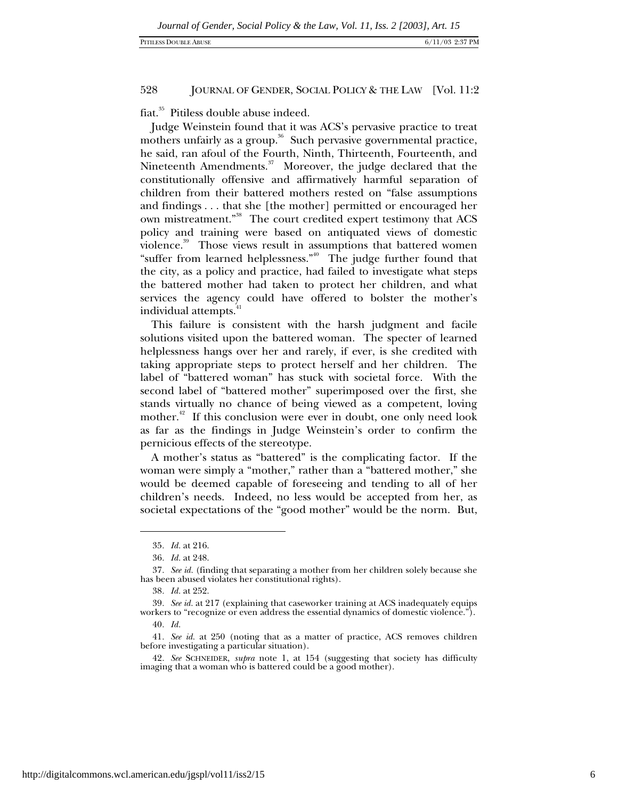fiat.<sup>35</sup> Pitiless double abuse indeed.

Judge Weinstein found that it was ACS's pervasive practice to treat mothers unfairly as a group. $36$  Such pervasive governmental practice, he said, ran afoul of the Fourth, Ninth, Thirteenth, Fourteenth, and Nineteenth Amendments. $37$  Moreover, the judge declared that the constitutionally offensive and affirmatively harmful separation of children from their battered mothers rested on "false assumptions and findings . . . that she [the mother] permitted or encouraged her own mistreatment."38 The court credited expert testimony that ACS policy and training were based on antiquated views of domestic violence.<sup>39</sup> Those views result in assumptions that battered women "suffer from learned helplessness."<sup>40</sup> The judge further found that the city, as a policy and practice, had failed to investigate what steps the battered mother had taken to protect her children, and what services the agency could have offered to bolster the mother's individual attempts.<sup>41</sup>

This failure is consistent with the harsh judgment and facile solutions visited upon the battered woman. The specter of learned helplessness hangs over her and rarely, if ever, is she credited with taking appropriate steps to protect herself and her children. The label of "battered woman" has stuck with societal force. With the second label of "battered mother" superimposed over the first, she stands virtually no chance of being viewed as a competent, loving mother.<sup>42</sup> If this conclusion were ever in doubt, one only need look as far as the findings in Judge Weinstein's order to confirm the pernicious effects of the stereotype.

A mother's status as "battered" is the complicating factor. If the woman were simply a "mother," rather than a "battered mother," she would be deemed capable of foreseeing and tending to all of her children's needs. Indeed, no less would be accepted from her, as societal expectations of the "good mother" would be the norm. But,

<sup>35</sup>*. Id.* at 216.

<sup>36</sup>*. Id.* at 248.

<sup>37</sup>*. See id.* (finding that separating a mother from her children solely because she has been abused violates her constitutional rights).

<sup>38</sup>*. Id.* at 252.

<sup>39</sup>*. See id.* at 217 (explaining that caseworker training at ACS inadequately equips workers to "recognize or even address the essential dynamics of domestic violence.").

<sup>40</sup>*. Id.*

<sup>41</sup>*. See id.* at 250 (noting that as a matter of practice, ACS removes children before investigating a particular situation).

<sup>42</sup>*. See* SCHNEIDER, *supra* note 1, at 154 (suggesting that society has difficulty imaging that a woman who is battered could be a good mother).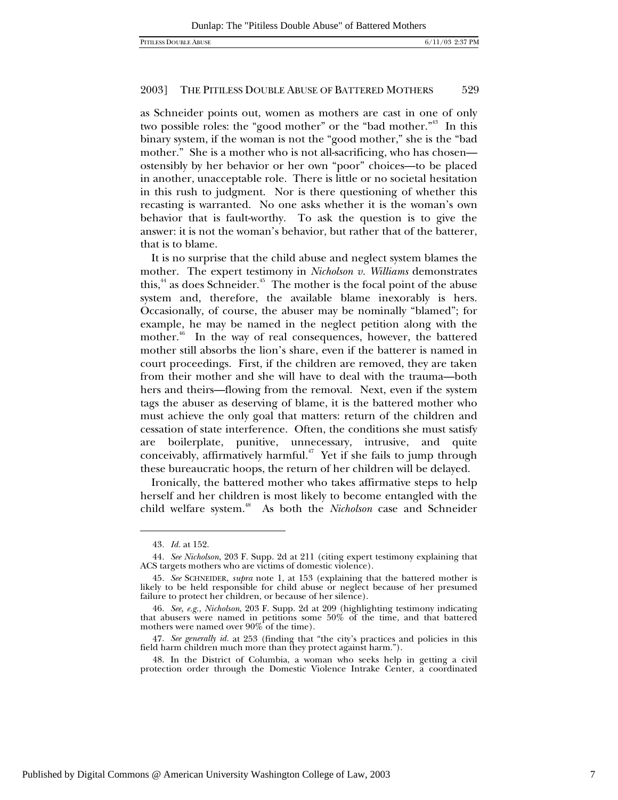as Schneider points out, women as mothers are cast in one of only two possible roles: the "good mother" or the "bad mother."<sup>43</sup> In this binary system, if the woman is not the "good mother," she is the "bad mother." She is a mother who is not all-sacrificing, who has chosen ostensibly by her behavior or her own "poor" choices—to be placed in another, unacceptable role. There is little or no societal hesitation in this rush to judgment. Nor is there questioning of whether this recasting is warranted. No one asks whether it is the woman's own behavior that is fault-worthy. To ask the question is to give the answer: it is not the woman's behavior, but rather that of the batterer, that is to blame.

It is no surprise that the child abuse and neglect system blames the mother. The expert testimony in *Nicholson v. Williams* demonstrates this, $44$  as does Schneider. $45$  The mother is the focal point of the abuse system and, therefore, the available blame inexorably is hers. Occasionally, of course, the abuser may be nominally "blamed"; for example, he may be named in the neglect petition along with the mother.<sup>46</sup> In the way of real consequences, however, the battered mother still absorbs the lion's share, even if the batterer is named in court proceedings. First, if the children are removed, they are taken from their mother and she will have to deal with the trauma—both hers and theirs—flowing from the removal. Next, even if the system tags the abuser as deserving of blame, it is the battered mother who must achieve the only goal that matters: return of the children and cessation of state interference. Often, the conditions she must satisfy are boilerplate, punitive, unnecessary, intrusive, and quite conceivably, affirmatively harmful.<sup> $47$ </sup> Yet if she fails to jump through these bureaucratic hoops, the return of her children will be delayed.

Ironically, the battered mother who takes affirmative steps to help herself and her children is most likely to become entangled with the child welfare system.48 As both the *Nicholson* case and Schneider

-

<sup>43</sup>*. Id.* at 152.

<sup>44</sup>*. See Nicholson*, 203 F. Supp. 2d at 211 (citing expert testimony explaining that ACS targets mothers who are victims of domestic violence).

<sup>45</sup>*. See* SCHNEIDER, *supra* note 1, at 153 (explaining that the battered mother is likely to be held responsible for child abuse or neglect because of her presumed failure to protect her children, or because of her silence).

<sup>46</sup>*. See, e.g., Nicholson*, 203 F. Supp. 2d at 209 (highlighting testimony indicating that abusers were named in petitions some 50% of the time, and that battered mothers were named over  $90\%$  of the time).

<sup>47</sup>*. See generally id.* at 253 (finding that "the city's practices and policies in this field harm children much more than they protect against harm.").

<sup>48.</sup> In the District of Columbia, a woman who seeks help in getting a civil protection order through the Domestic Violence Intrake Center, a coordinated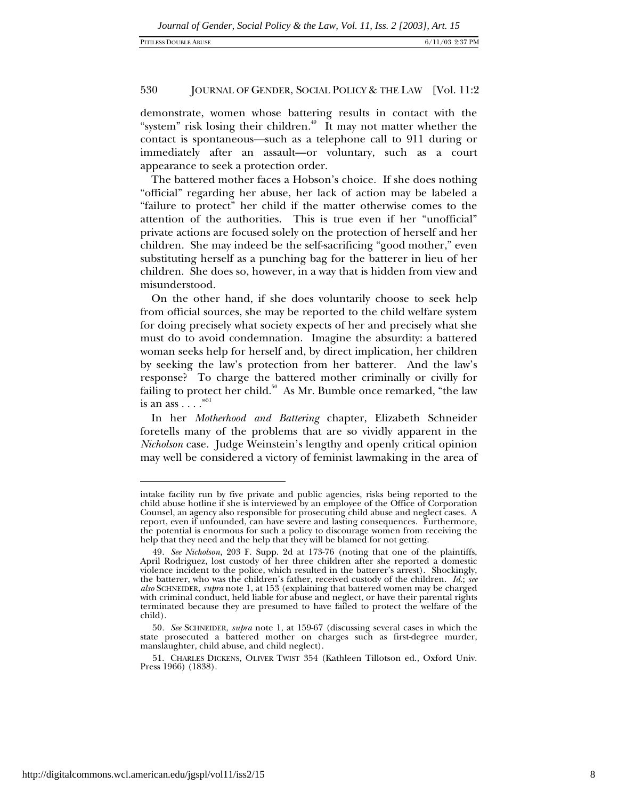demonstrate, women whose battering results in contact with the "system" risk losing their children.<sup> $49$ </sup> It may not matter whether the contact is spontaneous—such as a telephone call to 911 during or immediately after an assault—or voluntary, such as a court appearance to seek a protection order.

The battered mother faces a Hobson's choice. If she does nothing "official" regarding her abuse, her lack of action may be labeled a "failure to protect" her child if the matter otherwise comes to the attention of the authorities. This is true even if her "unofficial" private actions are focused solely on the protection of herself and her children. She may indeed be the self-sacrificing "good mother," even substituting herself as a punching bag for the batterer in lieu of her children. She does so, however, in a way that is hidden from view and misunderstood.

On the other hand, if she does voluntarily choose to seek help from official sources, she may be reported to the child welfare system for doing precisely what society expects of her and precisely what she must do to avoid condemnation. Imagine the absurdity: a battered woman seeks help for herself and, by direct implication, her children by seeking the law's protection from her batterer. And the law's response? To charge the battered mother criminally or civilly for failing to protect her child.<sup>50</sup> As Mr. Bumble once remarked, "the law is an ass  $\ldots$ ."<sup>51</sup>

In her *Motherhood and Battering* chapter, Elizabeth Schneider foretells many of the problems that are so vividly apparent in the *Nicholson* case. Judge Weinstein's lengthy and openly critical opinion may well be considered a victory of feminist lawmaking in the area of

1

intake facility run by five private and public agencies, risks being reported to the child abuse hotline if she is interviewed by an employee of the Office of Corporation Counsel, an agency also responsible for prosecuting child abuse and neglect cases. A report, even if unfounded, can have severe and lasting consequences. Furthermore, the potential is enormous for such a policy to discourage women from receiving the help that they need and the help that they will be blamed for not getting.

<sup>49</sup>*. See Nicholson,* 203 F. Supp. 2d at 173-76 (noting that one of the plaintiffs, April Rodriguez, lost custody of her three children after she reported a domestic violence incident to the police, which resulted in the batterer's arrest). Shockingly, the batterer, who was the children's father, received custody of the children. *Id.*; *see also* SCHNEIDER, *supra* note 1, at 153 (explaining that battered women may be charged with criminal conduct, held liable for abuse and neglect, or have their parental rights terminated because they are presumed to have failed to protect the welfare of the child).

<sup>50</sup>*. See* SCHNEIDER, *supra* note 1, at 159-67 (discussing several cases in which the state prosecuted a battered mother on charges such as first-degree murder, manslaughter, child abuse, and child neglect).

<sup>51.</sup> CHARLES DICKENS, OLIVER TWIST 354 (Kathleen Tillotson ed., Oxford Univ. Press 1966) (1838).